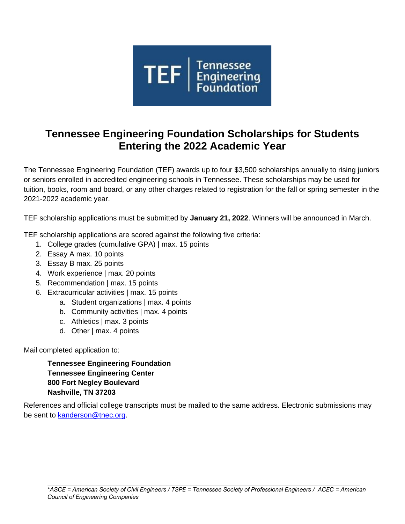

# **Tennessee Engineering Foundation Scholarships for Students Entering the 2022 Academic Year**

The Tennessee Engineering Foundation (TEF) awards up to four \$3,500 scholarships annually to rising juniors or seniors enrolled in accredited engineering schools in Tennessee. These scholarships may be used for tuition, books, room and board, or any other charges related to registration for the fall or spring semester in the 2021-2022 academic year.

TEF scholarship applications must be submitted by **January 21, 2022**. Winners will be announced in March.

TEF scholarship applications are scored against the following five criteria:

- 1. College grades (cumulative GPA) | max. 15 points
- 2. Essay A max. 10 points
- 3. Essay B max. 25 points
- 4. Work experience | max. 20 points
- 5. Recommendation | max. 15 points
- 6. Extracurricular activities | max. 15 points
	- a. Student organizations | max. 4 points
	- b. Community activities | max. 4 points
	- c. Athletics | max. 3 points
	- d. Other | max. 4 points

Mail completed application to:

**Tennessee Engineering Foundation Tennessee Engineering Center 800 Fort Negley Boulevard Nashville, TN 37203**

References and official college transcripts must be mailed to the same address. Electronic submissions may be sent to [kanderson@tnec.org.](mailto:kanderson@tnec.org)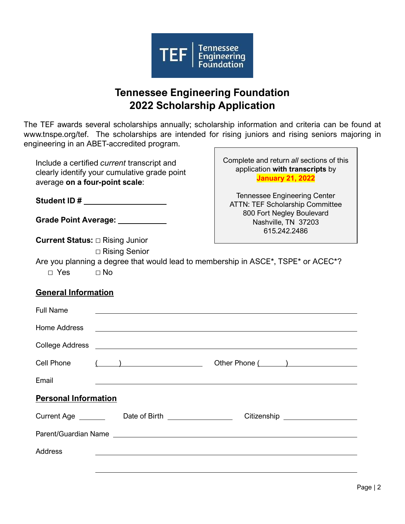

# **Tennessee Engineering Foundation 2022 Scholarship Application**

The TEF awards several scholarships annually; scholarship information and criteria can be found at [www.tnspe.org/tef.](http://www.tnspe.org/tef) The scholarships are intended for rising juniors and rising seniors majoring in engineering in an ABET-accredited program.

Include a certified *current* transcript and clearly identify your cumulative grade point average **on a four-point scale**:

**Student ID #**

**Grade Point Average:** 

**Current Status:** □ Rising Junior

□ Rising Senior

Complete and return *all* sections of this application **with transcripts** by **January 21, 2022**

Tennessee Engineering Center ATTN: TEF Scholarship Committee 800 Fort Negley Boulevard Nashville, TN 37203 615.242.2486

Are you planning a degree that would lead to membership in ASCE\*, TSPE\* or ACEC\*? □ Yes □ No

# **General Information**

| <b>Full Name</b>            |                                                                                                                       |                                  |  |  |  |  |  |
|-----------------------------|-----------------------------------------------------------------------------------------------------------------------|----------------------------------|--|--|--|--|--|
| <b>Home Address</b>         | <u> 1989 - Jan Barnett, fransk politik (d. 1989)</u>                                                                  |                                  |  |  |  |  |  |
|                             |                                                                                                                       |                                  |  |  |  |  |  |
| Cell Phone                  | $\left(\begin{array}{c} \begin{array}{c} \begin{array}{c} \end{array}\\ \end{array}\right) \end{array}$               | Other Phone ( )                  |  |  |  |  |  |
| Email                       |                                                                                                                       |                                  |  |  |  |  |  |
| <b>Personal Information</b> |                                                                                                                       |                                  |  |  |  |  |  |
|                             | Current Age _________ Date of Birth ________________                                                                  | Citizenship ____________________ |  |  |  |  |  |
|                             |                                                                                                                       |                                  |  |  |  |  |  |
| Address                     | <u> 1989 - Johann Stoff, deutscher Stoff, der Stoff, der Stoff, der Stoff, der Stoff, der Stoff, der Stoff, der S</u> |                                  |  |  |  |  |  |
|                             |                                                                                                                       |                                  |  |  |  |  |  |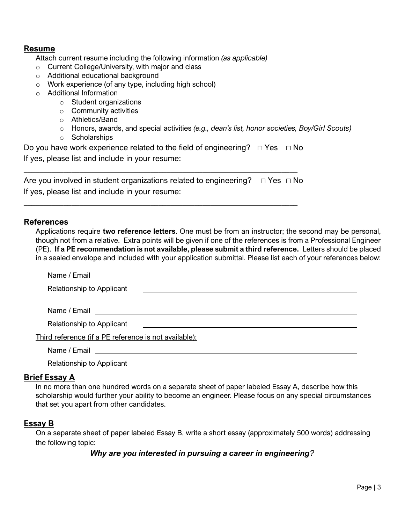## **Resume**

Attach current resume including the following information *(as applicable)*

- o Current College/University, with major and class
- o Additional educational background
- o Work experience (of any type, including high school)
- o Additional Information
	- o Student organizations
	- o Community activities
	- o Athletics/Band
	- o Honors, awards, and special activities *(e.g., dean's list, honor societies, Boy/Girl Scouts)*
	- o Scholarships

Do you have work experience related to the field of engineering?  $\Box$  Yes  $\Box$  No If yes, please list and include in your resume:

| Are you involved in student organizations related to engineering? $\Box$ Yes $\Box$ No |  |
|----------------------------------------------------------------------------------------|--|
| If yes, please list and include in your resume:                                        |  |

\_\_\_\_\_\_\_\_\_\_\_\_\_\_\_\_\_\_\_\_\_\_\_\_\_\_\_\_\_\_\_\_\_\_\_\_\_\_\_\_\_\_\_\_\_\_\_\_\_\_\_\_\_\_\_\_\_\_\_\_\_\_\_\_\_\_\_\_\_

\_\_\_\_\_\_\_\_\_\_\_\_\_\_\_\_\_\_\_\_\_\_\_\_\_\_\_\_\_\_\_\_\_\_\_\_\_\_\_\_\_\_\_\_\_\_\_\_\_\_\_\_\_\_\_\_\_\_\_\_\_\_\_\_\_\_\_\_\_

### **References**

Applications require **two reference letters**. One must be from an instructor; the second may be personal, though not from a relative. Extra points will be given if one of the references is from a Professional Engineer (PE). **If a PE recommendation is not available, please submit a third reference.** Letters should be placed in a sealed envelope and included with your application submittal. Please list each of your references below:

| Relationship to Applicant<br><u> 1980 - Andrea State Barbara, amerikan personal di sebagai personal di sebagai personal di sebagai personal d</u> |  |  |  |  |
|---------------------------------------------------------------------------------------------------------------------------------------------------|--|--|--|--|
|                                                                                                                                                   |  |  |  |  |
| Relationship to Applicant<br><u> 1980 - Andrea Stadt Britain, fransk politik (d. 1980)</u>                                                        |  |  |  |  |
| Third reference (if a PE reference is not available):                                                                                             |  |  |  |  |
|                                                                                                                                                   |  |  |  |  |
| <b>Relationship to Applicant</b>                                                                                                                  |  |  |  |  |
|                                                                                                                                                   |  |  |  |  |

### **Brief Essay A**

In no more than one hundred words on a separate sheet of paper labeled Essay A, describe how this scholarship would further your ability to become an engineer. Please focus on any special circumstances that set you apart from other candidates.

## **Essay B**

On a separate sheet of paper labeled Essay B, write a short essay (approximately 500 words) addressing the following topic:

*Why are you interested in pursuing a career in engineering?*